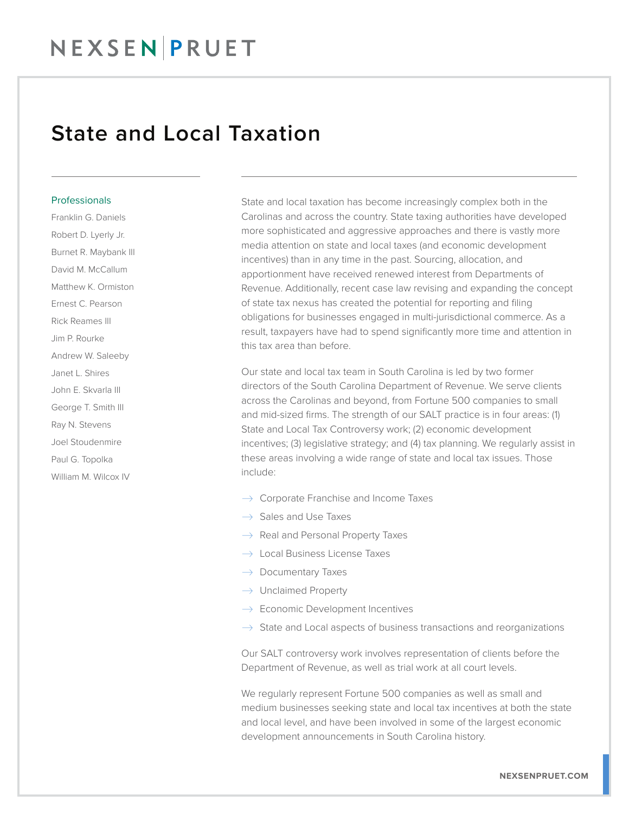### State and Local Taxation

#### **Professionals**

Franklin G. Daniels Robert D. Lyerly Jr. Burnet R. Maybank III David M. McCallum Matthew K. Ormiston Ernest C. Pearson Rick Reames III Jim P. Rourke Andrew W. Saleeby Janet L. Shires John E. Skvarla III George T. Smith III Ray N. Stevens Joel Stoudenmire Paul G. Topolka William M. Wilcox IV

State and local taxation has become increasingly complex both in the Carolinas and across the country. State taxing authorities have developed more sophisticated and aggressive approaches and there is vastly more media attention on state and local taxes (and economic development incentives) than in any time in the past. Sourcing, allocation, and apportionment have received renewed interest from Departments of Revenue. Additionally, recent case law revising and expanding the concept of state tax nexus has created the potential for reporting and filing obligations for businesses engaged in multi-jurisdictional commerce. As a result, taxpayers have had to spend significantly more time and attention in this tax area than before.

Our state and local tax team in South Carolina is led by two former directors of the South Carolina Department of Revenue. We serve clients across the Carolinas and beyond, from Fortune 500 companies to small and mid-sized firms. The strength of our SALT practice is in four areas: (1) State and Local Tax Controversy work; (2) economic development incentives; (3) legislative strategy; and (4) tax planning. We regularly assist in these areas involving a wide range of state and local tax issues. Those include:

- $\rightarrow$  Corporate Franchise and Income Taxes
- $\rightarrow$  Sales and Use Taxes
- $\rightarrow$  Real and Personal Property Taxes
- $\rightarrow$  Local Business License Taxes
- $\rightarrow$  Documentary Taxes
- $\rightarrow$  Unclaimed Property
- $\rightarrow$  Economic Development Incentives
- $\rightarrow$  State and Local aspects of business transactions and reorganizations

Our SALT controversy work involves representation of clients before the Department of Revenue, as well as trial work at all court levels.

We regularly represent Fortune 500 companies as well as small and medium businesses seeking state and local tax incentives at both the state and local level, and have been involved in some of the largest economic development announcements in South Carolina history.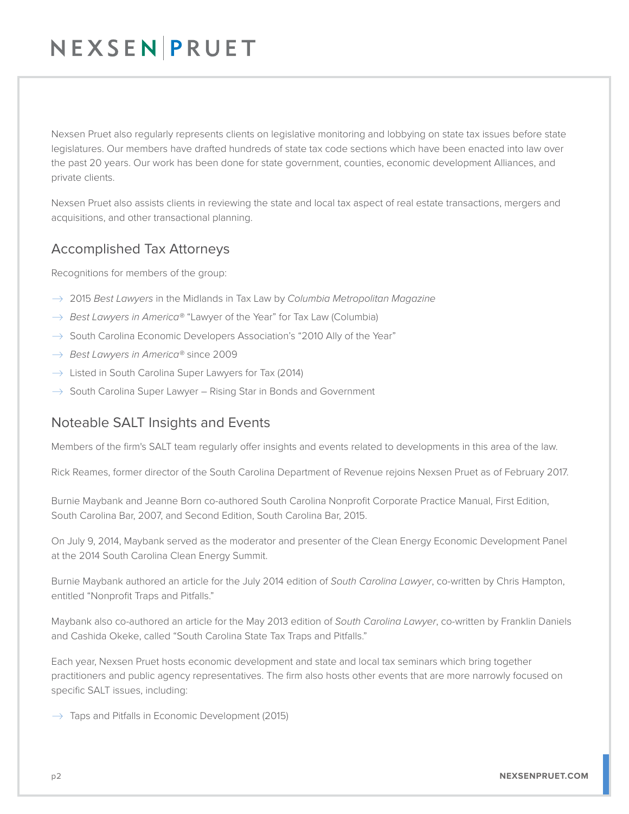## NEXSENPRUET

Nexsen Pruet also regularly represents clients on legislative monitoring and lobbying on state tax issues before state legislatures. Our members have drafted hundreds of state tax code sections which have been enacted into law over the past 20 years. Our work has been done for state government, counties, economic development Alliances, and private clients.

Nexsen Pruet also assists clients in reviewing the state and local tax aspect of real estate transactions, mergers and acquisitions, and other transactional planning.

### Accomplished Tax Attorneys

Recognitions for members of the group:

- � 2015 *Best Lawyers* in the Midlands in Tax Law by *Columbia Metropolitan Magazine*
- $\rightarrow$  *Best Lawyers in America®* "Lawyer of the Year" for Tax Law (Columbia)
- $\rightarrow$  South Carolina Economic Developers Association's "2010 Ally of the Year"
- � *Best Lawyers in America®* since 2009
- $\rightarrow$  Listed in South Carolina Super Lawyers for Tax (2014)
- $\rightarrow$  South Carolina Super Lawyer Rising Star in Bonds and Government

### Noteable SALT Insights and Events

Members of the firm's SALT team regularly offer insights and events related to developments in this area of the law.

Rick Reames, former director of the South Carolina Department of Revenue rejoins Nexsen Pruet as of February 2017.

Burnie Maybank and Jeanne Born co-authored South Carolina Nonprofit Corporate Practice Manual, First Edition, South Carolina Bar, 2007, and Second Edition, South Carolina Bar, 2015.

On July 9, 2014, Maybank served as the moderator and presenter of the Clean Energy Economic Development Panel at the 2014 South Carolina Clean Energy Summit.

Burnie Maybank authored an article for the July 2014 edition of *South Carolina Lawyer*, co-written by Chris Hampton, entitled "Nonprofit Traps and Pitfalls."

Maybank also co-authored an article for the May 2013 edition of *South Carolina Lawyer*, co-written by Franklin Daniels and Cashida Okeke, called "South Carolina State Tax Traps and Pitfalls."

Each year, Nexsen Pruet hosts economic development and state and local tax seminars which bring together practitioners and public agency representatives. The firm also hosts other events that are more narrowly focused on specific SALT issues, including:

 $\rightarrow$  Taps and Pitfalls in Economic Development (2015)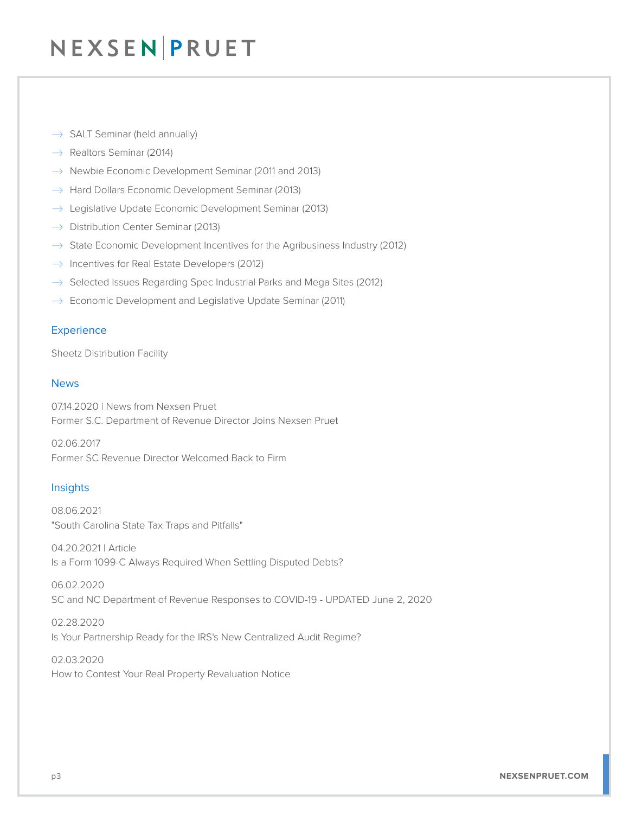## NEXSEN PRUET

- $\rightarrow$  SALT Seminar (held annually)
- $\rightarrow$  Realtors Seminar (2014)
- $\rightarrow$  Newbie Economic Development Seminar (2011 and 2013)
- $\rightarrow$  Hard Dollars Economic Development Seminar (2013)
- $\rightarrow$  Legislative Update Economic Development Seminar (2013)
- $\rightarrow$  Distribution Center Seminar (2013)
- $\rightarrow$  State Economic Development Incentives for the Agribusiness Industry (2012)
- $\rightarrow$  Incentives for Real Estate Developers (2012)
- $\rightarrow$  Selected Issues Regarding Spec Industrial Parks and Mega Sites (2012)
- $\rightarrow$  Economic Development and Legislative Update Seminar (2011)

#### **Experience**

Sheetz Distribution Facility

#### News

07.14.2020 | News from Nexsen Pruet Former S.C. Department of Revenue Director Joins Nexsen Pruet

02.06.2017 Former SC Revenue Director Welcomed Back to Firm

### **Insights**

08.06.2021 "South Carolina State Tax Traps and Pitfalls"

04.20.2021 | Article Is a Form 1099-C Always Required When Settling Disputed Debts?

06.02.2020 SC and NC Department of Revenue Responses to COVID-19 - UPDATED June 2, 2020

02.28.2020 Is Your Partnership Ready for the IRS's New Centralized Audit Regime?

02.03.2020 How to Contest Your Real Property Revaluation Notice